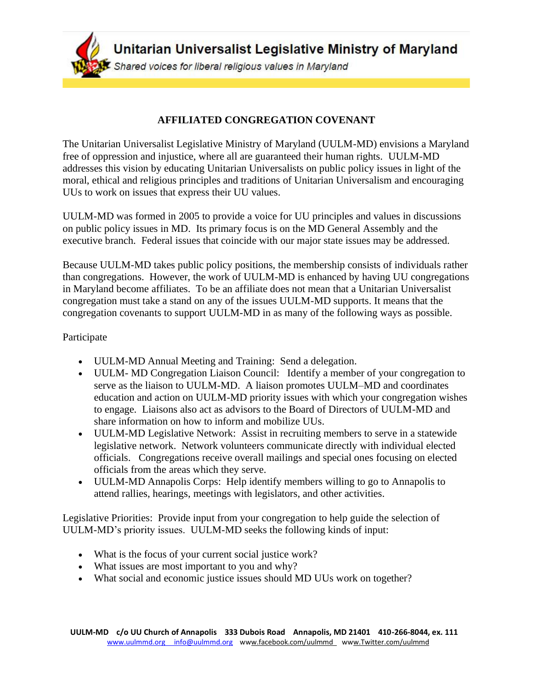Unitarian Universalist Legislative Ministry of Maryland Shared voices for liberal religious values in Maryland

# **AFFILIATED CONGREGATION COVENANT**

The Unitarian Universalist Legislative Ministry of Maryland (UULM-MD) envisions a Maryland free of oppression and injustice, where all are guaranteed their human rights. UULM-MD addresses this vision by educating Unitarian Universalists on public policy issues in light of the moral, ethical and religious principles and traditions of Unitarian Universalism and encouraging UUs to work on issues that express their UU values.

UULM-MD was formed in 2005 to provide a voice for UU principles and values in discussions on public policy issues in MD. Its primary focus is on the MD General Assembly and the executive branch. Federal issues that coincide with our major state issues may be addressed.

Because UULM-MD takes public policy positions, the membership consists of individuals rather than congregations. However, the work of UULM-MD is enhanced by having UU congregations in Maryland become affiliates. To be an affiliate does not mean that a Unitarian Universalist congregation must take a stand on any of the issues UULM-MD supports. It means that the congregation covenants to support UULM-MD in as many of the following ways as possible.

# Participate

- UULM-MD Annual Meeting and Training: Send a delegation.
- UULM- MD Congregation Liaison Council: Identify a member of your congregation to serve as the liaison to UULM-MD. A liaison promotes UULM–MD and coordinates education and action on UULM-MD priority issues with which your congregation wishes to engage. Liaisons also act as advisors to the Board of Directors of UULM-MD and share information on how to inform and mobilize UUs.
- UULM-MD Legislative Network: Assist in recruiting members to serve in a statewide legislative network. Network volunteers communicate directly with individual elected officials. Congregations receive overall mailings and special ones focusing on elected officials from the areas which they serve.
- UULM-MD Annapolis Corps: Help identify members willing to go to Annapolis to attend rallies, hearings, meetings with legislators, and other activities.

Legislative Priorities: Provide input from your congregation to help guide the selection of UULM-MD's priority issues. UULM-MD seeks the following kinds of input:

- What is the focus of your current social justice work?
- What issues are most important to you and why?
- What social and economic justice issues should MD UUs work on together?